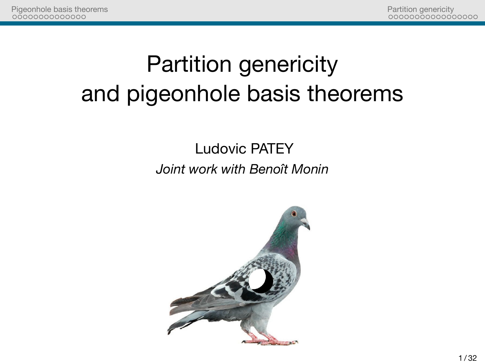

Partition genericity<br>00000000000000000

Partition genericity and pigeonhole basis theorems

> Ludovic PATEY *Joint work with Benoît Monin*

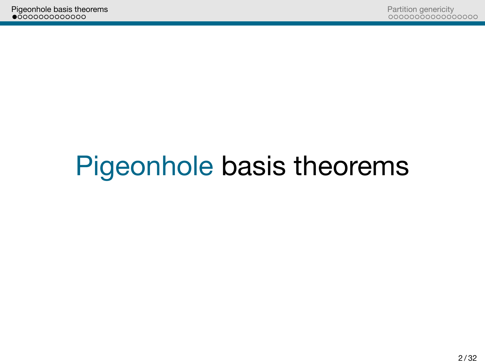Partition genericity<br>00000000000000000

Pigeonhole basis theorems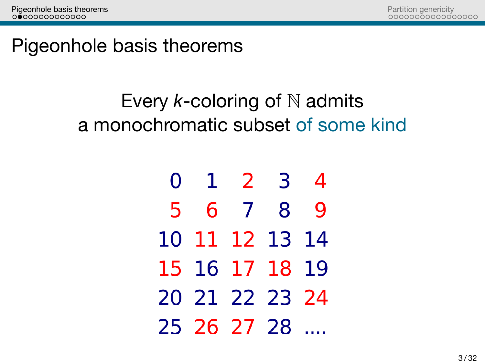Partition genericity<br>00000000000000000

Pigeonhole basis theorems

Every *k*-coloring of N admits a monochromatic subset of some kind

| 0 |                | 1 2 | 3     | 4           |
|---|----------------|-----|-------|-------------|
| 5 |                |     | 6 7 8 | $\mathbf Q$ |
|   | 10 11 12 13 14 |     |       |             |
|   | 15 16 17 18 19 |     |       |             |
|   | 20 21 22 23 24 |     |       |             |
|   | 25 26 27 28    |     |       |             |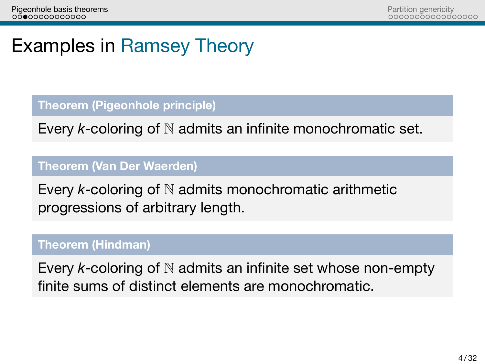Partition genericity<br>00000000000000000

## Examples in Ramsey Theory

#### **Theorem (Pigeonhole principle)**

Every *k*-coloring of N admits an infinite monochromatic set.

### **Theorem (Van Der Waerden)**

Every *k*-coloring of N admits monochromatic arithmetic progressions of arbitrary length.

### **Theorem (Hindman)**

Every *k*-coloring of N admits an infinite set whose non-empty finite sums of distinct elements are monochromatic.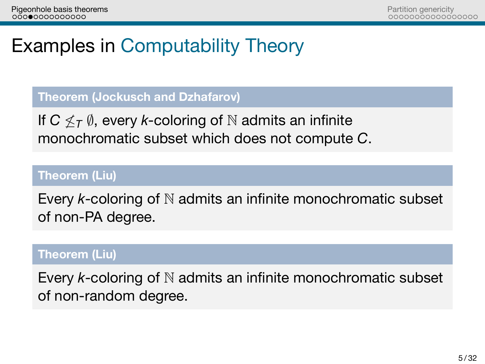Partition genericity<br>00000000000000000

# Examples in Computability Theory

**Theorem (Jockusch and Dzhafarov)**

If *C ̸≤<sup>T</sup> ∅*, every *k*-coloring of N admits an infinite monochromatic subset which does not compute *C*.

#### **Theorem (Liu)**

Every *k*-coloring of N admits an infinite monochromatic subset of non-PA degree.

#### **Theorem (Liu)**

Every *k*-coloring of N admits an infinite monochromatic subset of non-random degree.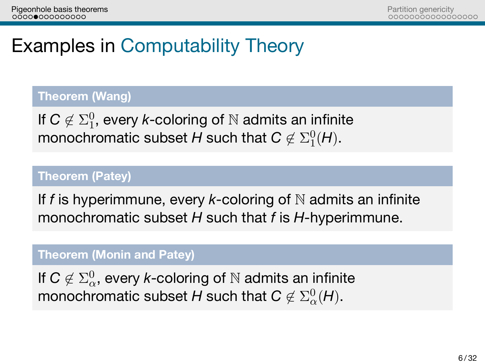Partition genericity<br>00000000000000000

## Examples in Computability Theory

### **Theorem (Wang)**

If  $C \notin \Sigma^0_1$ , every *k*-coloring of  $\mathbb N$  admits an infinite monochromatic subset  $H$  such that  $C \not\in \Sigma^0_1(H)$ .

#### **Theorem (Patey)**

If *f* is hyperimmune, every *k*-coloring of N admits an infinite monochromatic subset *H* such that *f* is *H*-hyperimmune.

#### **Theorem (Monin and Patey)**

If  $\textsf{C}\not\in \Sigma^0_\alpha$ , every *k*-coloring of  $\mathbb N$  admits an infinite monochromatic subset  $H$  such that  $\pmb{C} \not\in \Sigma^0_\alpha(H).$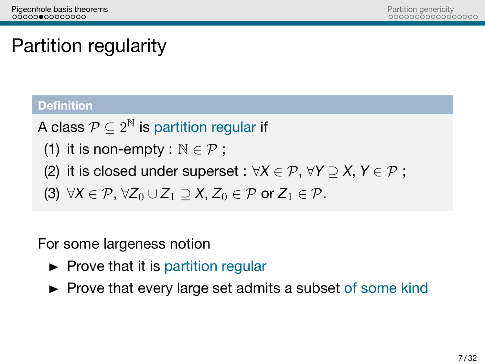Partition genericity<br>00000000000000000

# Partition regularity

#### **Definition**

A class  $\mathcal{P} \subseteq 2^\mathbb{N}$  is partition regular if

- (1) it is non-empty :  $\mathbb{N} \in \mathcal{P}$ ;
- (2) it is closed under superset :  $\forall X \in \mathcal{P}$ ,  $\forall Y \supseteq X$ ,  $Y \in \mathcal{P}$ ;
- (3)  $\forall X \in \mathcal{P}, \forall Z_0 \cup Z_1 \supseteq X, Z_0 \in \mathcal{P}$  or  $Z_1 \in \mathcal{P}$ .

For some largeness notion

- $\blacktriangleright$  Prove that it is partition regular
- Prove that every large set admits a subset of some kind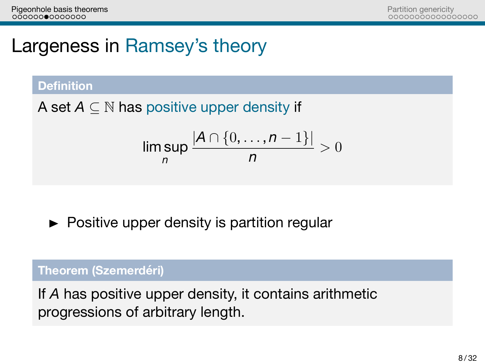Partition genericity<br>00000000000000000

# Largeness in Ramsey's theory

#### **Definition**

A set *A ⊆* N has positive upper density if

$$
\limsup_n \frac{|A \cap \{0, \dots, n-1\}|}{n} > 0
$$

 $\blacktriangleright$  Positive upper density is partition regular

### **Theorem (Szemerdéri)**

If *A* has positive upper density, it contains arithmetic progressions of arbitrary length.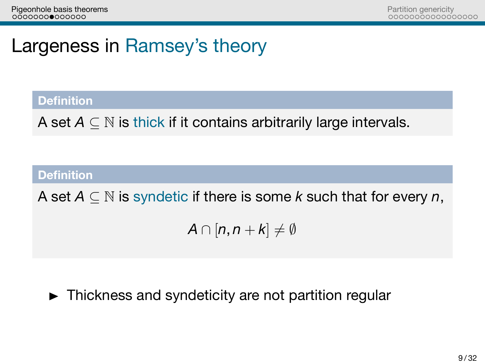Partition genericity<br>00000000000000000

# Largeness in Ramsey's theory

**Definition**

A set *A ⊆* N is thick if it contains arbitrarily large intervals.

**Definition**

A set *A ⊆* N is syndetic if there is some *k* such that for every *n*,

 $A \cap [n, n+k] \neq \emptyset$ 

 $\blacktriangleright$  Thickness and syndeticity are not partition regular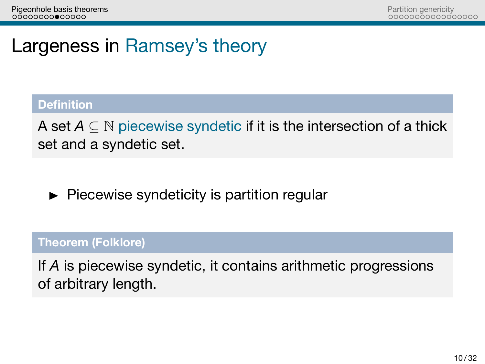Partition genericity<br>00000000000000000

## Largeness in Ramsey's theory

#### **Definition**

A set *A ⊆* N piecewise syndetic if it is the intersection of a thick set and a syndetic set.

 $\blacktriangleright$  Piecewise syndeticity is partition regular

### **Theorem (Folklore)**

If *A* is piecewise syndetic, it contains arithmetic progressions of arbitrary length.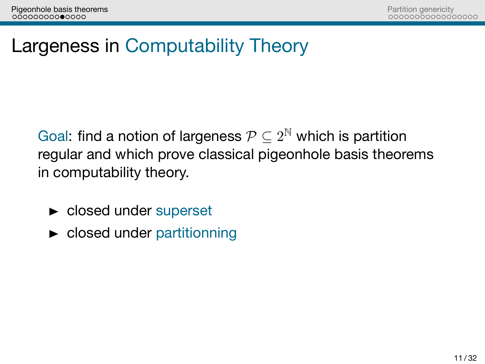Partition genericity<br>00000000000000000

Largeness in Computability Theory

Goal: find a notion of largeness  $\mathcal{P} \subseteq 2^{\mathbb{N}}$  which is partition regular and which prove classical pigeonhole basis theorems in computability theory.

- $\blacktriangleright$  closed under superset
- **De closed under partitionning**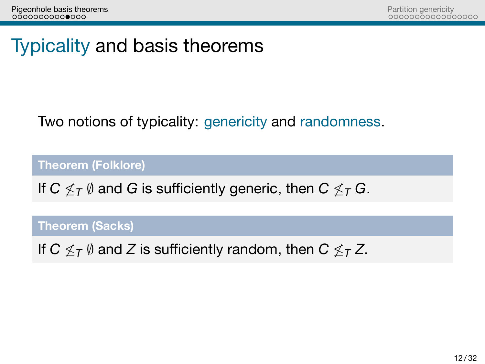Partition genericity<br>00000000000000000

Typicality and basis theorems

Two notions of typicality: genericity and randomness.

**Theorem (Folklore)**

If *C ̸≤<sup>T</sup> ∅* and *G* is sufficiently generic, then *C ̸≤<sup>T</sup> G*.

**Theorem (Sacks)**

If *C ̸≤<sup>T</sup> ∅* and *Z* is sufficiently random, then *C ̸≤<sup>T</sup> Z*.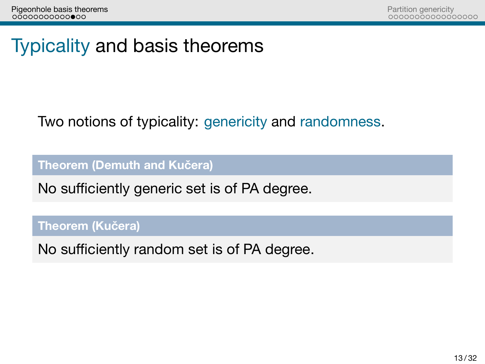Partition genericity<br>00000000000000000

Typicality and basis theorems

Two notions of typicality: genericity and randomness.

**Theorem (Demuth and Kučera)**

No sufficiently generic set is of PA degree.

**Theorem (Kučera)**

No sufficiently random set is of PA degree.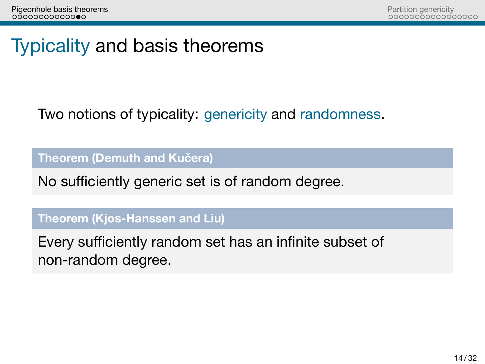Partition genericity<br>00000000000000000

Typicality and basis theorems

Two notions of typicality: genericity and randomness.

**Theorem (Demuth and Kučera)**

No sufficiently generic set is of random degree.

**Theorem (Kjos-Hanssen and Liu)**

Every sufficiently random set has an infinite subset of non-random degree.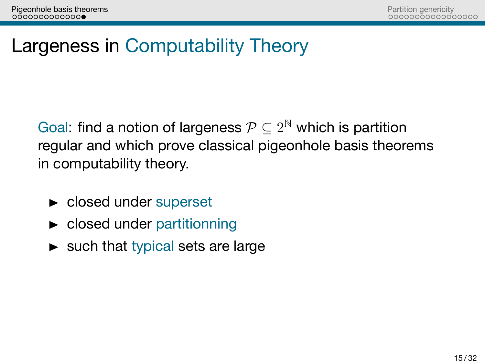Partition genericity<br>00000000000000000

Largeness in Computability Theory

Goal: find a notion of largeness  $\mathcal{P} \subseteq 2^\mathbb{N}$  which is partition regular and which prove classical pigeonhole basis theorems in computability theory.

- $\blacktriangleright$  closed under superset
- **Exercise Closed under partitionning**
- $\blacktriangleright$  such that typical sets are large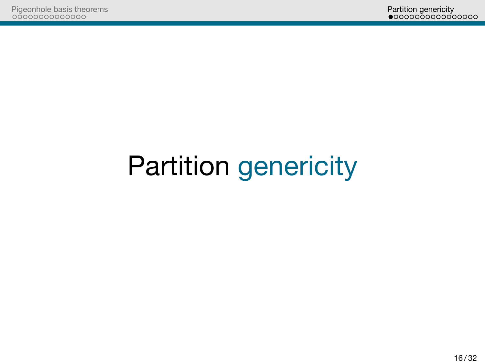Partition genericity<br>• 0000000000000000

Partition genericity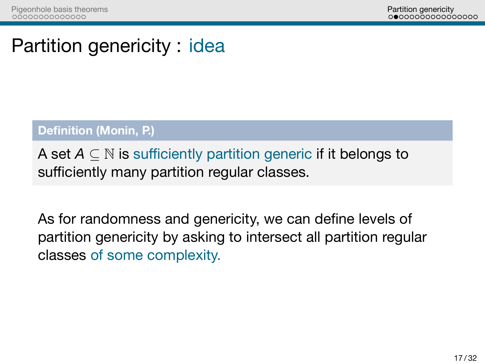Partition genericity<br>0000000000000000

Partition genericity : idea

**Definition (Monin, P.)**

A set *A ⊆* N is sufficiently partition generic if it belongs to sufficiently many partition regular classes.

As for randomness and genericity, we can define levels of partition genericity by asking to intersect all partition regular classes of some complexity.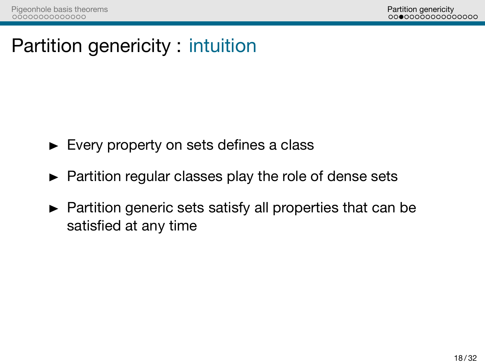Partition genericity<br>0000000000000000

Partition genericity : intuition

- Every property on sets defines a class
- $\blacktriangleright$  Partition regular classes play the role of dense sets
- $\blacktriangleright$  Partition generic sets satisfy all properties that can be satisfied at any time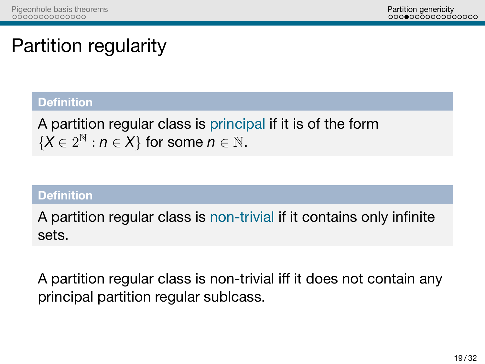Partition genericity<br>0000000000000000

# Partition regularity

### **Definition**

A partition regular class is principal if it is of the form  ${X \in 2^{\mathbb{N}} : n \in X}$  for some  $n \in \mathbb{N}$ .

### **Definition**

A partition regular class is non-trivial if it contains only infinite sets.

A partition regular class is non-trivial iff it does not contain any principal partition regular sublcass.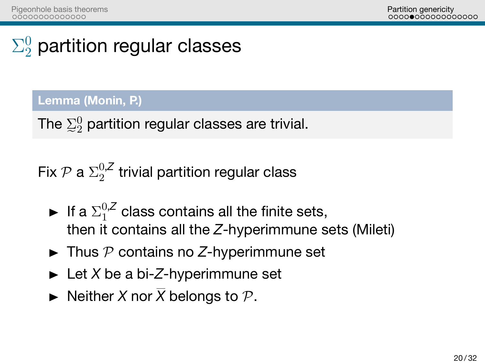Partition genericity<br>0000000000000000

# $\Sigma^0_2$  partition regular classes

### **Lemma (Monin, P.)**

The  $\mathbb{Z}_2^0$  partition regular classes are trivial.

Fix  $\mathcal P$  a  $\Sigma^{0,\mathcal Z}_2$  $_2^{0,2}$  trivial partition regular class

- If a  $\Sigma_1^{0,Z}$  $1^{0,2}$  class contains all the finite sets, then it contains all the *Z*-hyperimmune sets (Mileti)
- $\blacktriangleright$  Thus  $P$  contains no Z-hyperimmune set
- ► Let *X* be a bi-*Z*-hyperimmune set
- $\blacktriangleright$  Neither *X* nor  $\overline{X}$  belongs to  $\mathcal{P}$ .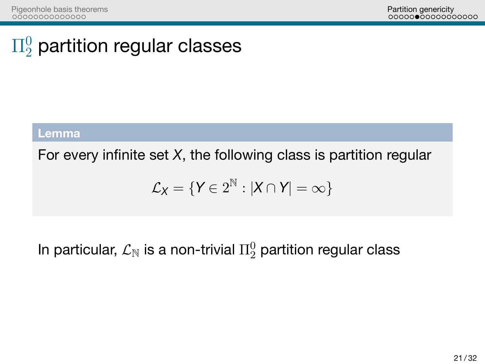Partition genericity<br>000000000000000

 $\Pi^0_2$  partition regular classes

**Lemma**

For every infinite set *X*, the following class is partition regular

 $\mathcal{L}_\mathsf{X} = \{ \mathsf{Y} \in 2^\mathbb{N} : |\mathsf{X} \cap \mathsf{Y}| = \infty \}$ 

In particular,  $\mathcal{L}_\mathbb{N}$  is a non-trivial  $\Pi^0_2$  partition regular class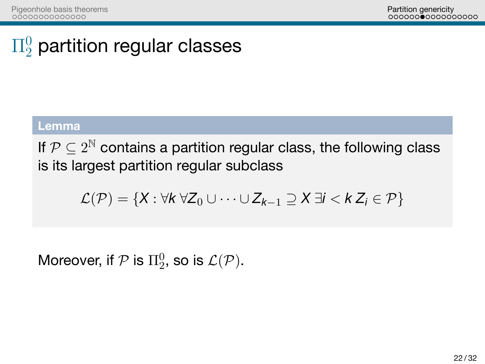Partition genericity<br>000000●0000000000

# $\Pi^0_2$  partition regular classes

**Lemma**

If  $\mathcal{P} \subseteq 2^\mathbb{N}$  contains a partition regular class, the following class is its largest partition regular subclass

*L*(*P*) = *{X* : *∀k ∀Z*<sup>0</sup> *∪ · · · ∪ Zk−*<sup>1</sup> *⊇ X ∃i < k Z<sup>i</sup> ∈ P}*

Moreover, if  $\mathcal P$  is  $\Pi^0_2$ , so is  $\mathcal L(\mathcal P).$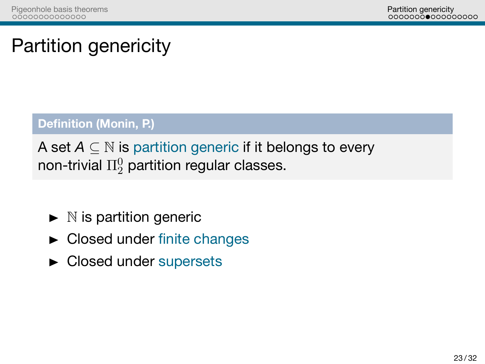Partition genericity<br>0000000000000000

# Partition genericity

**Definition (Monin, P.)**

A set *A ⊆* N is partition generic if it belongs to every non-trivial  $\Pi^0_2$  partition regular classes.

- $\blacktriangleright$  N is partition generic
- $\blacktriangleright$  Closed under finite changes
- Closed under supersets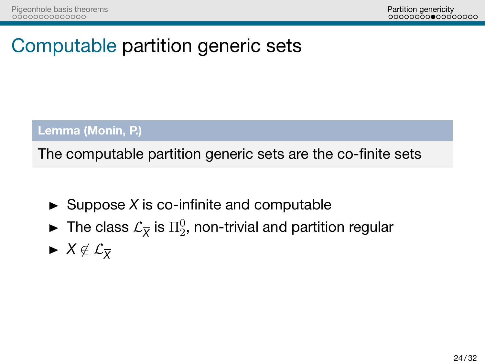Partition genericity<br>00000000000000000

Computable partition generic sets

**Lemma (Monin, P.)**

The computable partition generic sets are the co-finite sets

- $\blacktriangleright$  Suppose *X* is co-infinite and computable
- $\blacktriangleright$  The class  $\mathcal{L}_{\overline{X}}$  is  $\Pi^0_2$ , non-trivial and partition regular
- *<sup>X</sup> ̸∈ L<sup>X</sup>*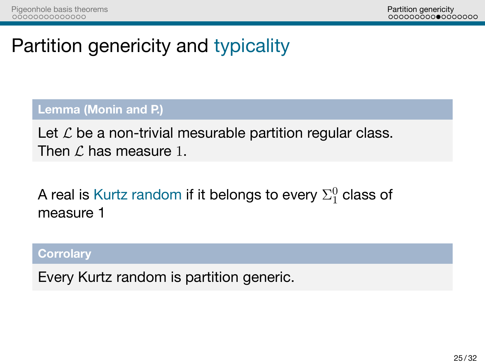Partition genericity<br>00000000000000000

# Partition genericity and typicality

**Lemma (Monin and P.)**

Let  $\mathcal L$  be a non-trivial mesurable partition regular class. Then *L* has measure 1.

A real is Kurtz random if it belongs to every  $\Sigma^0_1$  class of measure 1

**Corrolary**

Every Kurtz random is partition generic.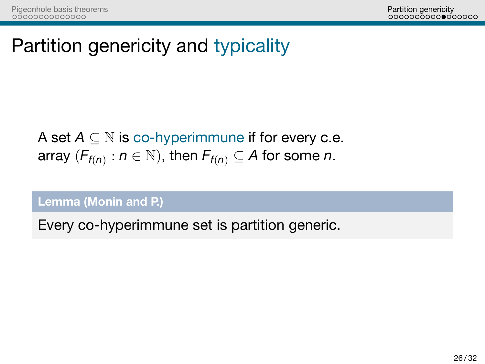Partition genericity<br>00000000000000000

Partition genericity and typicality

A set *A ⊆* N is co-hyperimmune if for every c.e. array  $(F_{f(n)}: n \in \mathbb{N})$ , then  $F_{f(n)} \subseteq A$  for some *n*.

**Lemma (Monin and P.)**

Every co-hyperimmune set is partition generic.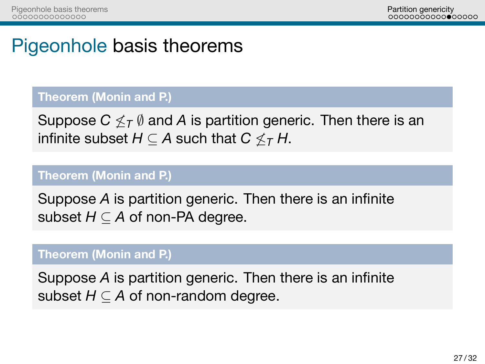Partition genericity<br>00000000000000000

## Pigeonhole basis theorems

### **Theorem (Monin and P.)**

Suppose *C*  $\nleq$  *T*  $\emptyset$  and *A* is partition generic. Then there is an infinite subset  $H \subseteq A$  such that  $C \nleq_T H$ .

#### **Theorem (Monin and P.)**

Suppose *A* is partition generic. Then there is an infinite subset *H ⊆ A* of non-PA degree.

#### **Theorem (Monin and P.)**

Suppose *A* is partition generic. Then there is an infinite subset *H ⊆ A* of non-random degree.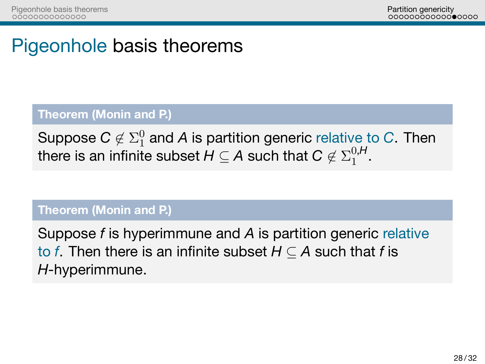Partition genericity<br>00000000000000000

# Pigeonhole basis theorems

**Theorem (Monin and P.)**

Suppose  $C \not\in \Sigma^0_1$  and A is partition generic relative to  $C$ . Then there is an infinite subset  $H \subseteq A$  such that  $C \not\in \Sigma^{0,H}_1$  $_{1}^{0,H}$ .

**Theorem (Monin and P.)**

Suppose *f* is hyperimmune and *A* is partition generic relative to *f*. Then there is an infinite subset  $H \subseteq A$  such that *f* is *H*-hyperimmune.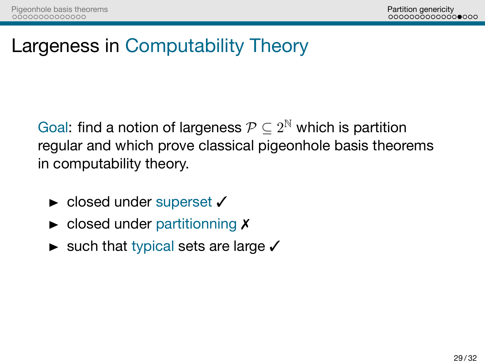Partition genericity<br>000000000000000000

# Largeness in Computability Theory

Goal: find a notion of largeness  $\mathcal{P} \subseteq 2^\mathbb{N}$  which is partition regular and which prove classical pigeonhole basis theorems in computability theory.

- ► closed under superset  $\checkmark$
- $\blacktriangleright$  closed under partitionning  $X$
- ► such that typical sets are large  $\checkmark$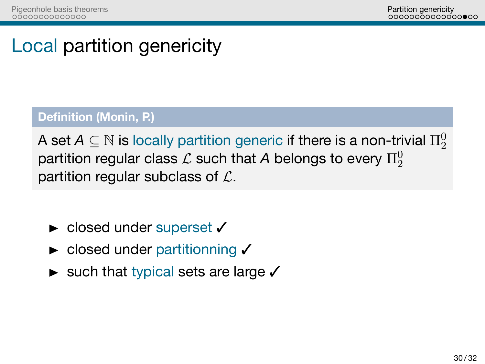Partition genericity<br>000000000000000000

## Local partition genericity

### **Definition (Monin, P.)**

A set  $\mathcal{A} \subseteq \mathbb{N}$  is locally partition generic if there is a non-trivial  $\Pi^0_2$ partition regular class  ${\cal L}$  such that  $A$  belongs to every  $\Pi_2^0$ partition regular subclass of *L*.

- ► closed under superset  $\checkmark$
- ► closed under partitionning √
- ► such that typical sets are large  $\checkmark$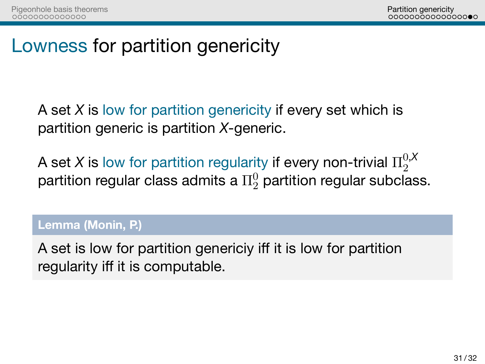Partition genericity<br>0000000000000000

Lowness for partition genericity

A set *X* is low for partition genericity if every set which is partition generic is partition *X*-generic.

A set X is low for partition regularity if every non-trivial  $\Pi^{0, X}_2$ 2 partition regular class admits a  $\Pi^0_2$  partition regular subclass.

**Lemma (Monin, P.)**

A set is low for partition genericiy iff it is low for partition regularity iff it is computable.